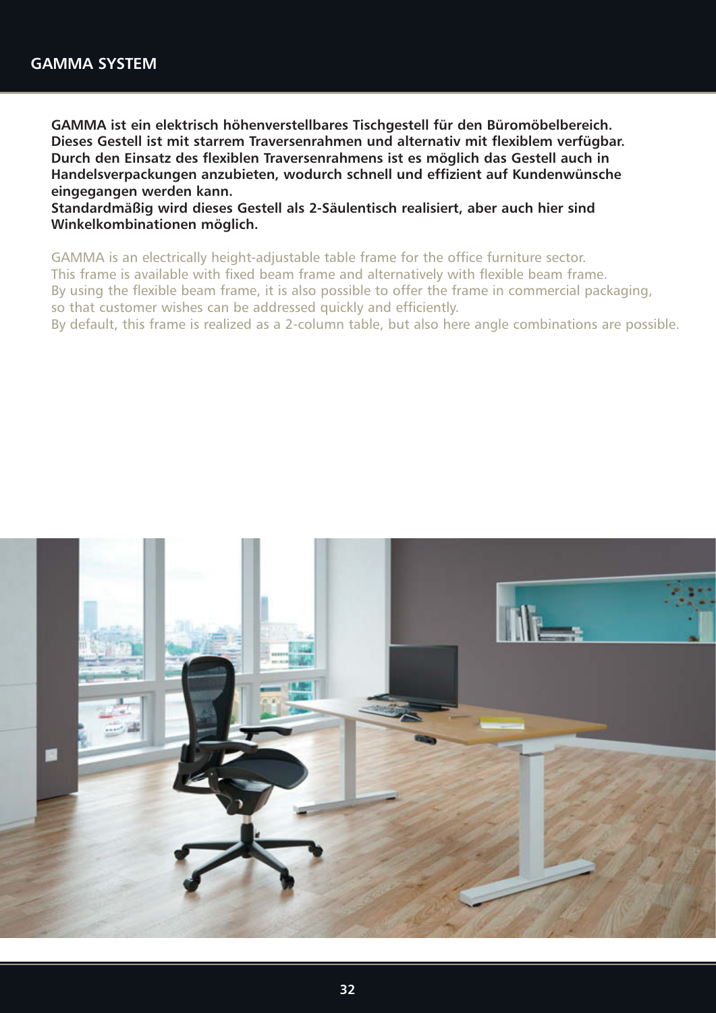**GAMMA ist ein elektrisch höhenverstellbares Tischgestell für den Büromöbelbereich. Dieses Gestell ist mit starrem Traversenrahmen und alternativ mit flexiblem verfügbar. Durch den Einsatz des flexiblen Traversenrahmens ist es möglich das Gestell auch in Handelsverpackungen anzubieten, wodurch schnell und effizient auf Kundenwünsche eingegangen werden kann.**

**Standardmäßig wird dieses Gestell als 2-Säulentisch realisiert, aber auch hier sind Winkelkombinationen möglich.**

GAMMA is an electrically height-adjustable table frame for the office furniture sector. This frame is available with fixed beam frame and alternatively with flexible beam frame. By using the flexible beam frame, it is also possible to offer the frame in commercial packaging, so that customer wishes can be addressed quickly and efficiently.

By default, this frame is realized as a 2-column table, but also here angle combinations are possible.

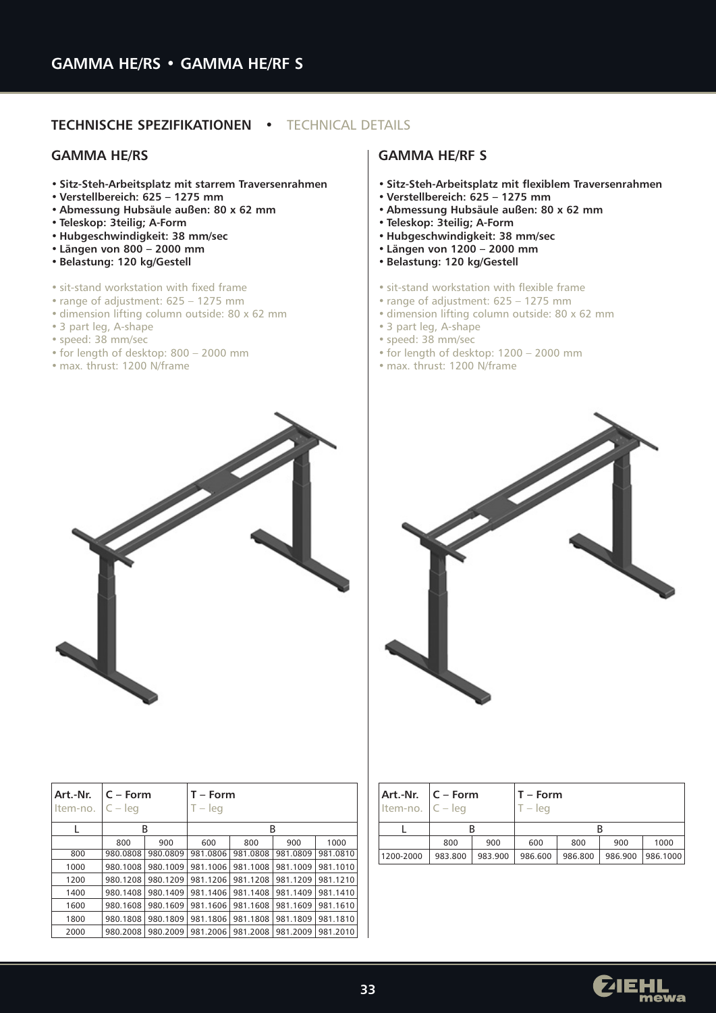# **TECHNISCHE SPEZIFIKATIONEN •** TECHNICAL DETAILS

#### **GAMMA HE/RS**

- **Sitz-Steh-Arbeitsplatz mit starrem Traversenrahmen**
- **Verstellbereich: 625 1275 mm**
- **Abmessung Hubsäule außen: 80 x 62 mm**
- **Teleskop: 3teilig; A-Form**
- **Hubgeschwindigkeit: 38 mm/sec**
- **Längen von 800 2000 mm**
- **Belastung: 120 kg/Gestell**
- sit-stand workstation with fixed frame
- range of adjustment: 625 1275 mm
- dimension lifting column outside: 80 x 62 mm
- 3 part leg, A-shape
- speed: 38 mm/sec
- for length of desktop: 800 2000 mm
- max. thrust: 1200 N/frame

| Art.-Nr.<br>Item-no. | $C - Form$<br>$C - leq$ |          | $T - Form$<br>$T - leg$ |          |          |          |
|----------------------|-------------------------|----------|-------------------------|----------|----------|----------|
|                      | B                       |          |                         |          | B        |          |
|                      | 800                     | 900      | 600                     | 800      | 900      | 1000     |
| 800                  | 980.0808                | 980.0809 | 981.0806                | 981.0808 | 981.0809 | 981.0810 |
| 1000                 | 980.1008                | 980.1009 | 981.1006                | 981.1008 | 981.1009 | 981.1010 |
| 1200                 | 980.1208                | 980.1209 | 981.1206                | 981.1208 | 981.1209 | 981.1210 |
| 1400                 | 980.1408                | 980.1409 | 981.1406                | 981.1408 | 981.1409 | 981.1410 |
| 1600                 | 980.1608                | 980.1609 | 981.1606                | 981.1608 | 981.1609 | 981.1610 |
| 1800                 | 980.1808                | 980.1809 | 981.1806                | 981.1808 | 981.1809 | 981.1810 |
| 2000                 | 980.2008                | 980.2009 | 981.2006                | 981.2008 | 981.2009 | 981.2010 |

### **GAMMA HE/RF S**

- **Sitz-Steh-Arbeitsplatz mit flexiblem Traversenrahmen**
- **Verstellbereich: 625 1275 mm**
- **Abmessung Hubsäule außen: 80 x 62 mm**
- **Teleskop: 3teilig; A-Form**
- **Hubgeschwindigkeit: 38 mm/sec**
- **Längen von 1200 2000 mm**
- **Belastung: 120 kg/Gestell**
- sit-stand workstation with flexible frame
- range of adjustment: 625 1275 mm
- dimension lifting column outside: 80 x 62 mm
- 3 part leg, A-shape
- speed: 38 mm/sec
- for length of desktop: 1200 2000 mm
- max. thrust: 1200 N/frame



| Item-no. $C - leg$ | $Art.-Nr.$ $C$ – Form |         | $T - Form$<br>$-$ lea |         |         |          |
|--------------------|-----------------------|---------|-----------------------|---------|---------|----------|
|                    |                       |         |                       |         |         |          |
|                    | 800                   | 900     | 600                   | 800     | 900     | 1000     |
| 1200-2000          | 983.800               | 983.900 | 986.600               | 986.800 | 986.900 | 986.1000 |

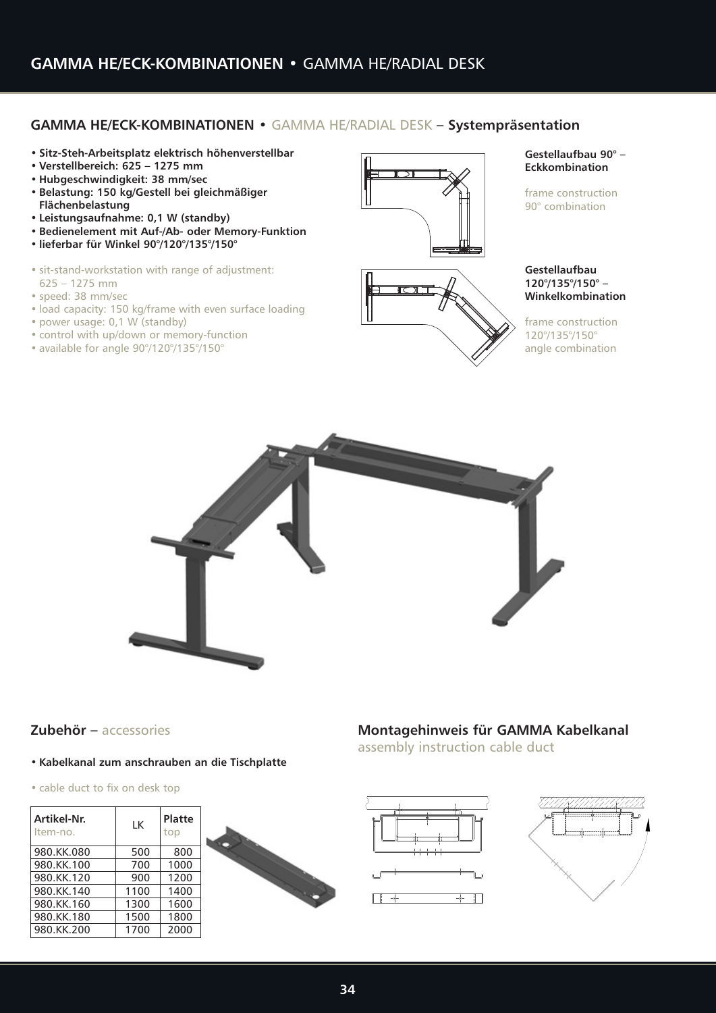# **GAMMA HE/ECK-KOMBINATIONEN •** GAMMA HE/RADIAL DESK **– Systempräsentation**

- **Sitz-Steh-Arbeitsplatz elektrisch höhenverstellbar**
- **Verstellbereich: 625 1275 mm**
- **Hubgeschwindigkeit: 38 mm/sec**
- **Belastung: 150 kg/Gestell bei gleichmäßiger Flächenbelastung**
- **Leistungsaufnahme: 0,1 W (standby)**
- **Bedienelement mit Auf-/Ab- oder Memory-Funktion**
- **lieferbar für Winkel 90°/120°/135°/150°**
- sit-stand-workstation with range of adjustment: 625 – 1275 mm
- speed: 38 mm/sec
- load capacity: 150 kg/frame with even surface loading
- power usage: 0,1 W (standby)
- control with up/down or memory-function
- available for angle 90°/120°/135°/150°





frame construction 90° combination

#### **Gestellaufbau 120°/135°/150° – Winkelkombination**

frame construction 120°/135°/150° angle combination



# **Zubehör –** accessories

## **• Kabelkanal zum anschrauben an die Tischplatte**

• cable duct to fix on desk top

| Artikel-Nr.<br>Item-no. | LK   | <b>Platte</b><br>top |  |
|-------------------------|------|----------------------|--|
| 980.KK.080              | 500  | 800                  |  |
| 980.KK.100              | 700  | 1000                 |  |
| 980.KK.120              | 900  | 1200                 |  |
| 980.KK.140              | 1100 | 1400                 |  |
| 980.KK.160              | 1300 | 1600                 |  |
| 980.KK.180              | 1500 | 1800                 |  |
| 980.KK.200              | 1700 | 2000                 |  |

# **Montagehinweis für GAMMA Kabelkanal**

assembly instruction cable duct

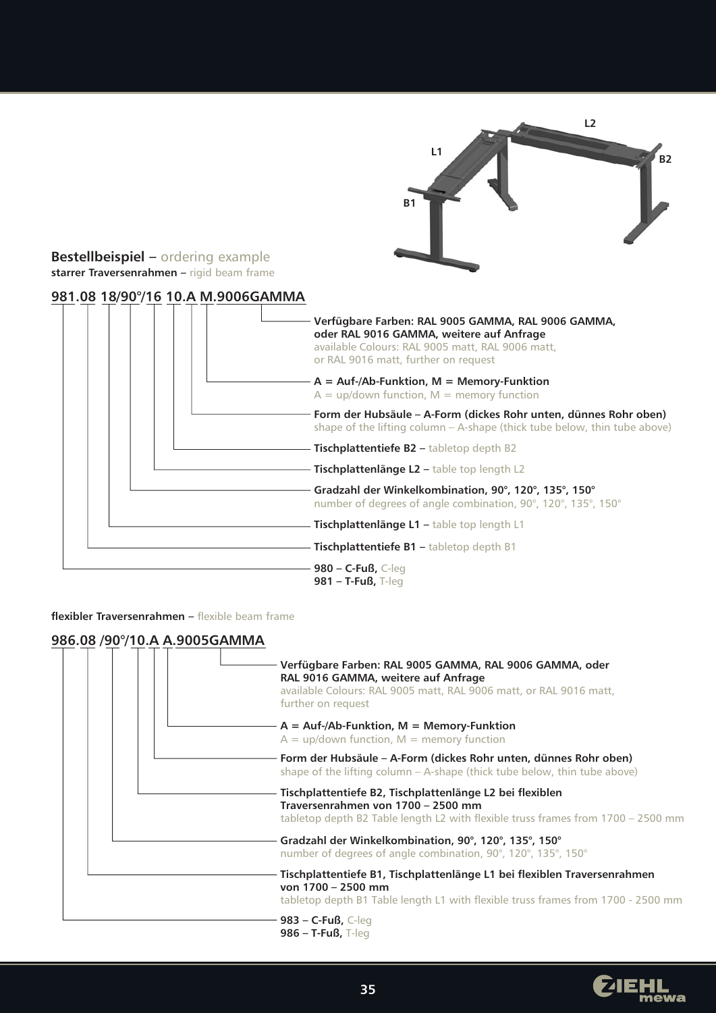

# **Bestellbeispiel –** ordering example **starrer Traversenrahmen –** rigid beam frame

# **981.08 18/90°/16 10.A M.9006GAMMA**

| Verfügbare Farben: RAL 9005 GAMMA, RAL 9006 GAMMA,<br>oder RAL 9016 GAMMA, weitere auf Anfrage<br>available Colours: RAL 9005 matt, RAL 9006 matt,<br>or RAL 9016 matt, further on request |
|--------------------------------------------------------------------------------------------------------------------------------------------------------------------------------------------|
| $A = \text{Aut-}/\text{Ab-Funktion}$ , M = Memory-Funktion<br>$A = up$ /down function, M = memory function                                                                                 |
| Form der Hubsäule – A-Form (dickes Rohr unten, dünnes Rohr oben)<br>shape of the lifting column - A-shape (thick tube below, thin tube above)                                              |
| <b>Tischplattentiefe B2 - tabletop depth B2</b>                                                                                                                                            |
| Tischplattenlänge L2 - table top length L2                                                                                                                                                 |
| Gradzahl der Winkelkombination, 90°, 120°, 135°, 150°<br>number of degrees of angle combination, 90°, 120°, 135°, 150°                                                                     |
| Tischplattenlänge L1 - table top length L1                                                                                                                                                 |
| <b>Tischplattentiefe B1 - tabletop depth B1</b>                                                                                                                                            |
| <b>980 – C-Fuß, C-leg</b><br>$981 - T$ -Fuß, T-leg                                                                                                                                         |

**flexibler Traversenrahmen –** flexible beam frame

# **986.08 /90°/10.A A.9005GAMMA**